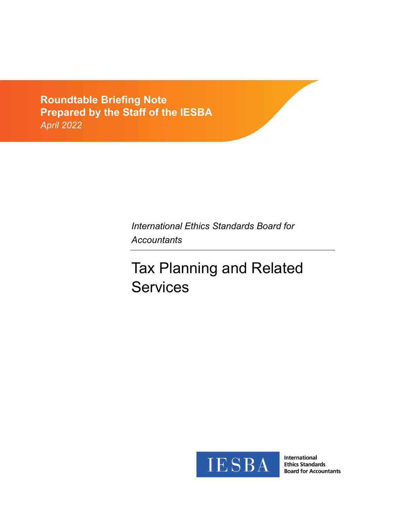**Exposure Drama**<br>Drangrad by the  $\frac{1}{2}$ *Comments due: February 29, 2012* **Roundtable Briefing Note Prepared by the Staff of the IESBA** *April 2022*

> *International Ethics Standards Board for Accountants*

# Tax Planning and Related **Services**



International **Ethics Standards Board for Accountants**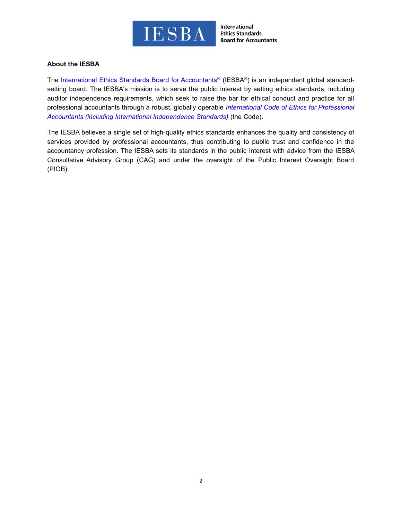

#### **About the IESBA**

The [International Ethics Standards Board for Accountants](http://www.ethicsboard.org/)® (IESBA®) is an independent global standardsetting board. The IESBA's mission is to serve the public interest by setting ethics standards, including auditor independence requirements, which seek to raise the bar for ethical conduct and practice for all professional accountants through a robust, globally operable *[International Code of Ethics for Professional](https://www.ethicsboard.org/international-code-ethics-professional-accountants)  [Accountants \(including International Independence Standards\)](https://www.ethicsboard.org/international-code-ethics-professional-accountants)* (the Code).

The IESBA believes a single set of high-quality ethics standards enhances the quality and consistency of services provided by professional accountants, thus contributing to public trust and confidence in the accountancy profession. The IESBA sets its standards in the public interest with advice from the IESBA Consultative Advisory Group (CAG) and under the oversight of the Public Interest Oversight Board (PIOB).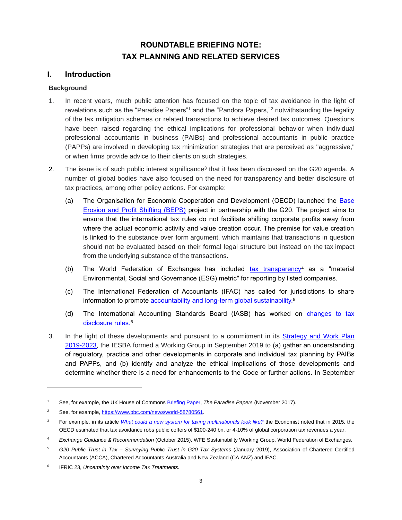# **ROUNDTABLE BRIEFING NOTE: TAX PLANNING AND RELATED SERVICES**

## **I. Introduction**

#### **Background**

- 1. In recent years, much public attention has focused on the topic of tax avoidance in the light of revelations such as the "Paradise Papers"<sup>1</sup> and the "Pandora Papers,"<sup>2</sup> notwithstanding the legality of the tax mitigation schemes or related transactions to achieve desired tax outcomes. Questions have been raised regarding the ethical implications for professional behavior when individual professional accountants in business (PAIBs) and professional accountants in public practice (PAPPs) are involved in developing tax minimization strategies that are perceived as "aggressive," or when firms provide advice to their clients on such strategies.
- 2. The issue is of such public interest significance<sup>3</sup> that it has been discussed on the G20 agenda. A number of global bodies have also focused on the need for transparency and better disclosure of tax practices, among other policy actions. For example:
	- (a) The Organisation for Economic Cooperation and Development (OECD) launched the [Base](https://www.oecd.org/tax/beps/)  [Erosion and Profit Shifting \(BEPS\)](https://www.oecd.org/tax/beps/) project in partnership with the G20. The project aims to ensure that the international tax rules do not facilitate shifting corporate profits away from where the actual economic activity and value creation occur. The premise for value creation is linked to the substance over form argument, which maintains that transactions in question should not be evaluated based on their formal legal structure but instead on the tax impact from the underlying substance of the transactions.
	- (b) The World Federation of Exchanges has included [tax transparency](https://www.world-exchanges.org/storage/app/media/research/Studies_Reports/WFE%20ESG%20Recommendation%20Guidance%20and%20Metrics%20Oct%202015.pdf)<sup>4</sup> as a "material Environmental, Social and Governance (ESG) metric" for reporting by listed companies.
	- (c) The International Federation of Accountants (IFAC) has called for jurisdictions to share information to promote <u>accountability and long-term global sustainability.</u>5
	- (d) The International Accounting Standards Board (IASB) has worked on changes to tax [disclosure rules.](https://www.iasplus.com/en/standards/ifric/ifric-23)<sup>6</sup>
- 3. In the light of these developments and pursuant to a commitment in its **Strategy and Work Plan** [2019-2023,](https://www.ethicsboard.org/publications/iesba-strategy-and-work-plan-2019-2023) the IESBA formed a Working Group in September 2019 to (a) gather an understanding of regulatory, practice and other developments in corporate and individual tax planning by PAIBs and PAPPs, and (b) identify and analyze the ethical implications of those developments and determine whether there is a need for enhancements to the Code or further actions. In September

<sup>1</sup> See, for example, the UK House of Common[s Briefing Paper,](https://researchbriefings.files.parliament.uk/documents/CDP-2017-0228/CDP-2017-0228.pdf) *The Paradise Papers* (November 2017).

<sup>&</sup>lt;sup>2</sup> See, for example, [https://www.bbc.com/news/world-58780561.](https://www.bbc.com/news/world-58780561)

<sup>3</sup> For example, in its article *[What could a new system for taxing multinationals look like?](https://www.economist.com/finance-and-economics/2021/05/13/what-could-a-new-system-for-taxing-multinationals-look-like?frsc=dg%7Ce)* the Economist noted that in 2015, the OECD estimated that tax avoidance robs public coffers of \$100-240 bn, or 4-10% of global corporation tax revenues a year.

<sup>4</sup> *Exchange Guidance & Recommendation* (October 2015), WFE Sustainability Working Group, World Federation of Exchanges.

<sup>5</sup> *G20 Public Trust in Tax – Surveying Public Trust in G20 Tax Systems* (January 2019), Association of Chartered Certified Accountants (ACCA), Chartered Accountants Australia and New Zealand (CA ANZ) and IFAC.

<sup>6</sup> IFRIC 23, *Uncertainty over Income Tax Treatments.*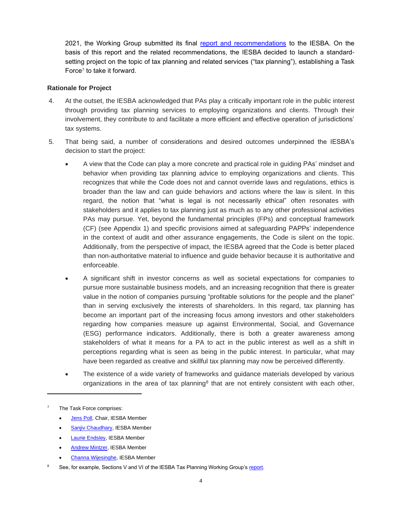2021, the Working Group submitted its final [report and recommendations](https://www.ifac.org/system/files/meetings/files/Agenda-Item-9D-Tax-Planning-and-Related-Services-Final-Report-Updated-to-Reflect-Sept-2021-IESBA-Discussion.pdf) to the IESBA. On the basis of this report and the related recommendations, the IESBA decided to launch a standardsetting project on the topic of tax planning and related services ("tax planning"), establishing a Task Force<sup>7</sup> to take it forward.

#### **Rationale for Project**

- 4. At the outset, the IESBA acknowledged that PAs play a critically important role in the public interest through providing tax planning services to employing organizations and clients. Through their involvement, they contribute to and facilitate a more efficient and effective operation of jurisdictions' tax systems.
- 5. That being said, a number of considerations and desired outcomes underpinned the IESBA's decision to start the project:
	- A view that the Code can play a more concrete and practical role in guiding PAs' mindset and behavior when providing tax planning advice to employing organizations and clients. This recognizes that while the Code does not and cannot override laws and regulations, ethics is broader than the law and can guide behaviors and actions where the law is silent. In this regard, the notion that "what is legal is not necessarily ethical" often resonates with stakeholders and it applies to tax planning just as much as to any other professional activities PAs may pursue. Yet, beyond the fundamental principles (FPs) and conceptual framework (CF) (see Appendix 1) and specific provisions aimed at safeguarding PAPPs' independence in the context of audit and other assurance engagements, the Code is silent on the topic. Additionally, from the perspective of impact, the IESBA agreed that the Code is better placed than non-authoritative material to influence and guide behavior because it is authoritative and enforceable.
	- A significant shift in investor concerns as well as societal expectations for companies to pursue more sustainable business models, and an increasing recognition that there is greater value in the notion of companies pursuing "profitable solutions for the people and the planet" than in serving exclusively the interests of shareholders. In this regard, tax planning has become an important part of the increasing focus among investors and other stakeholders regarding how companies measure up against Environmental, Social, and Governance (ESG) performance indicators. Additionally, there is both a greater awareness among stakeholders of what it means for a PA to act in the public interest as well as a shift in perceptions regarding what is seen as being in the public interest. In particular, what may have been regarded as creative and skillful tax planning may now be perceived differently.
	- The existence of a wide variety of frameworks and quidance materials developed by various organizations in the area of tax planning<sup>8</sup> that are not entirely consistent with each other,

- [Jens Poll,](https://www.ifac.org/bio/jens-poll) Chair, IESBA Member
- [Sanjiv Chaudhary,](https://www.ifac.org/bio/sanjiv-chaudhary) IESBA Member
- [Laurie Endsley,](https://www.ifac.org/bio/laurie-endsley) IESBA Member
- [Andrew Mintzer,](https://www.ifac.org/bio/andrew-mintzer) IESBA Member
- [Channa Wijesinghe,](https://www.ifac.org/who-we-are/leadership/channa-wijesinghe) IESBA Member
- See, for example, Sections V and VI of the IESBA Tax Planning Working Group'[s report.](https://www.ifac.org/system/files/meetings/files/Agenda-Item-9D-Tax-Planning-and-Related-Services-Final-Report-Updated-to-Reflect-Sept-2021-IESBA-Discussion.pdf)

The Task Force comprises: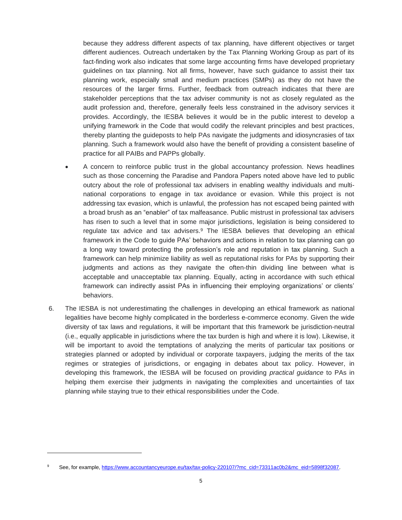because they address different aspects of tax planning, have different objectives or target different audiences. Outreach undertaken by the Tax Planning Working Group as part of its fact-finding work also indicates that some large accounting firms have developed proprietary guidelines on tax planning. Not all firms, however, have such guidance to assist their tax planning work, especially small and medium practices (SMPs) as they do not have the resources of the larger firms. Further, feedback from outreach indicates that there are stakeholder perceptions that the tax adviser community is not as closely regulated as the audit profession and, therefore, generally feels less constrained in the advisory services it provides. Accordingly, the IESBA believes it would be in the public interest to develop a unifying framework in the Code that would codify the relevant principles and best practices, thereby planting the guideposts to help PAs navigate the judgments and idiosyncrasies of tax planning. Such a framework would also have the benefit of providing a consistent baseline of practice for all PAIBs and PAPPs globally.

- A concern to reinforce public trust in the global accountancy profession. News headlines such as those concerning the Paradise and Pandora Papers noted above have led to public outcry about the role of professional tax advisers in enabling wealthy individuals and multinational corporations to engage in tax avoidance or evasion. While this project is not addressing tax evasion, which is unlawful, the profession has not escaped being painted with a broad brush as an "enabler" of tax malfeasance. Public mistrust in professional tax advisers has risen to such a level that in some major jurisdictions, legislation is being considered to regulate tax advice and tax advisers.<sup>9</sup> The IESBA believes that developing an ethical framework in the Code to guide PAs' behaviors and actions in relation to tax planning can go a long way toward protecting the profession's role and reputation in tax planning. Such a framework can help minimize liability as well as reputational risks for PAs by supporting their judgments and actions as they navigate the often-thin dividing line between what is acceptable and unacceptable tax planning. Equally, acting in accordance with such ethical framework can indirectly assist PAs in influencing their employing organizations' or clients' behaviors.
- 6. The IESBA is not underestimating the challenges in developing an ethical framework as national legalities have become highly complicated in the borderless e-commerce economy. Given the wide diversity of tax laws and regulations, it will be important that this framework be jurisdiction-neutral (i.e., equally applicable in jurisdictions where the tax burden is high and where it is low). Likewise, it will be important to avoid the temptations of analyzing the merits of particular tax positions or strategies planned or adopted by individual or corporate taxpayers, judging the merits of the tax regimes or strategies of jurisdictions, or engaging in debates about tax policy. However, in developing this framework, the IESBA will be focused on providing *practical guidance* to PAs in helping them exercise their judgments in navigating the complexities and uncertainties of tax planning while staying true to their ethical responsibilities under the Code.

<sup>9</sup> See, for example, [https://www.accountancyeurope.eu/tax/tax-policy-220107/?mc\\_cid=73311ac0b2&mc\\_eid=5898f32087.](https://www.accountancyeurope.eu/tax/tax-policy-220107/?mc_cid=73311ac0b2&mc_eid=5898f32087)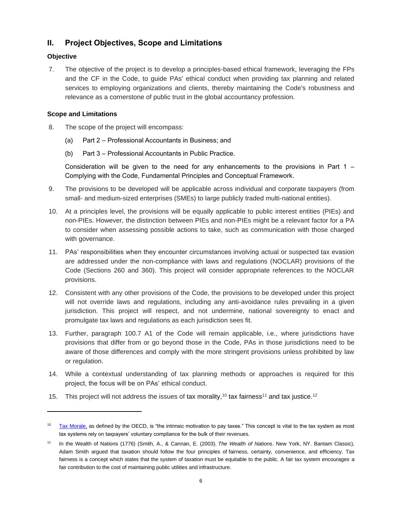## **II. Project Objectives, Scope and Limitations**

#### **Objective**

7. The objective of the project is to develop a principles-based ethical framework, leveraging the FPs and the CF in the Code, to guide PAs' ethical conduct when providing tax planning and related services to employing organizations and clients, thereby maintaining the Code's robustness and relevance as a cornerstone of public trust in the global accountancy profession.

#### **Scope and Limitations**

- 8. The scope of the project will encompass:
	- (a) Part 2 Professional Accountants in Business; and
	- (b) Part 3 Professional Accountants in Public Practice.

Consideration will be given to the need for any enhancements to the provisions in Part  $1 -$ Complying with the Code, Fundamental Principles and Conceptual Framework.

- 9. The provisions to be developed will be applicable across individual and corporate taxpayers (from small- and medium-sized enterprises (SMEs) to large publicly traded multi-national entities).
- 10. At a principles level, the provisions will be equally applicable to public interest entities (PIEs) and non-PIEs. However, the distinction between PIEs and non-PIEs might be a relevant factor for a PA to consider when assessing possible actions to take, such as communication with those charged with governance.
- 11. PAs' responsibilities when they encounter circumstances involving actual or suspected tax evasion are addressed under the non-compliance with laws and regulations (NOCLAR) provisions of the Code (Sections 260 and 360). This project will consider appropriate references to the NOCLAR provisions.
- 12. Consistent with any other provisions of the Code, the provisions to be developed under this project will not override laws and regulations, including any anti-avoidance rules prevailing in a given jurisdiction. This project will respect, and not undermine, national sovereignty to enact and promulgate tax laws and regulations as each jurisdiction sees fit.
- 13. Further, paragraph 100.7 A1 of the Code will remain applicable, i.e., where jurisdictions have provisions that differ from or go beyond those in the Code, PAs in those jurisdictions need to be aware of those differences and comply with the more stringent provisions unless prohibited by law or regulation.
- 14. While a contextual understanding of tax planning methods or approaches is required for this project, the focus will be on PAs' ethical conduct.
- 15. This project will not address the issues of tax morality,<sup>10</sup> tax fairness<sup>11</sup> and tax justice.<sup>12</sup>

<sup>&</sup>lt;sup>10</sup> [Tax Morale,](https://www.oecd.org/tax/tax-morale-f3d8ea10-en.htm) as defined by the OECD, is "the intrinsic motivation to pay taxes." This concept is vital to the tax system as most tax systems rely on taxpayers' voluntary compliance for the bulk of their revenues.

<sup>11</sup> In the Wealth of Nations (1776) (Smith, A., & Cannan, E. (2003). *The Wealth of Nations*. New York, NY. Bantam Classic), Adam Smith argued that taxation should follow the four principles of fairness, certainty, convenience, and efficiency. Tax fairness is a concept which states that the system of taxation must be equitable to the public. A fair tax system encourages a fair contribution to the cost of maintaining public utilities and infrastructure.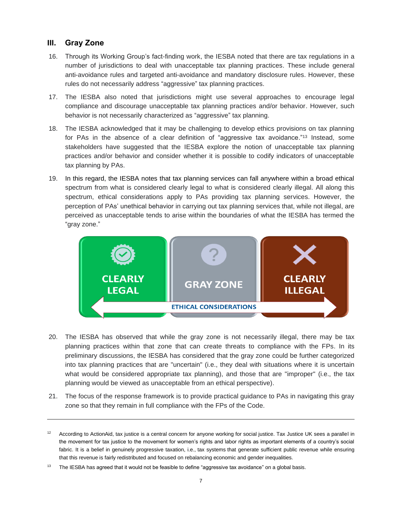### **III. Gray Zone**

- 16. Through its Working Group's fact-finding work, the IESBA noted that there are tax regulations in a number of jurisdictions to deal with unacceptable tax planning practices. These include general anti-avoidance rules and targeted anti-avoidance and mandatory disclosure rules. However, these rules do not necessarily address "aggressive" tax planning practices.
- 17. The IESBA also noted that jurisdictions might use several approaches to encourage legal compliance and discourage unacceptable tax planning practices and/or behavior. However, such behavior is not necessarily characterized as "aggressive" tax planning.
- 18. The IESBA acknowledged that it may be challenging to develop ethics provisions on tax planning for PAs in the absence of a clear definition of "aggressive tax avoidance."<sup>13</sup> Instead, some stakeholders have suggested that the IESBA explore the notion of unacceptable tax planning practices and/or behavior and consider whether it is possible to codify indicators of unacceptable tax planning by PAs.
- 19. In this regard, the IESBA notes that tax planning services can fall anywhere within a broad ethical spectrum from what is considered clearly legal to what is considered clearly illegal. All along this spectrum, ethical considerations apply to PAs providing tax planning services. However, the perception of PAs' unethical behavior in carrying out tax planning services that, while not illegal, are perceived as unacceptable tends to arise within the boundaries of what the IESBA has termed the "gray zone."



- 20. The IESBA has observed that while the gray zone is not necessarily illegal, there may be tax planning practices within that zone that can create threats to compliance with the FPs. In its preliminary discussions, the IESBA has considered that the gray zone could be further categorized into tax planning practices that are "uncertain" (i.e., they deal with situations where it is uncertain what would be considered appropriate tax planning), and those that are "improper" (i.e., the tax planning would be viewed as unacceptable from an ethical perspective).
- 21. The focus of the response framework is to provide practical guidance to PAs in navigating this gray zone so that they remain in full compliance with the FPs of the Code.

 $12$  According to ActionAid, tax justice is a central concern for anyone working for social justice. Tax Justice UK sees a parallel in the movement for tax justice to the movement for women's rights and labor rights as important elements of a country's social fabric. It is a belief in genuinely progressive taxation, i.e., tax systems that generate sufficient public revenue while ensuring that this revenue is fairly redistributed and focused on rebalancing economic and gender inequalities.

The IESBA has agreed that it would not be feasible to define "aggressive tax avoidance" on a global basis.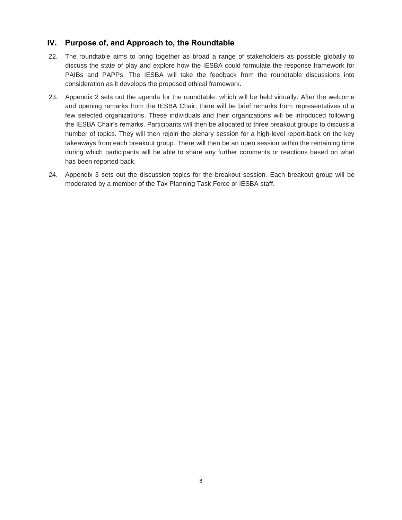## **IV. Purpose of, and Approach to, the Roundtable**

- 22. The roundtable aims to bring together as broad a range of stakeholders as possible globally to discuss the state of play and explore how the IESBA could formulate the response framework for PAIBs and PAPPs. The IESBA will take the feedback from the roundtable discussions into consideration as it develops the proposed ethical framework.
- 23. Appendix 2 sets out the agenda for the roundtable, which will be held virtually. After the welcome and opening remarks from the IESBA Chair, there will be brief remarks from representatives of a few selected organizations. These individuals and their organizations will be introduced following the IESBA Chair's remarks. Participants will then be allocated to three breakout groups to discuss a number of topics. They will then rejoin the plenary session for a high-level report-back on the key takeaways from each breakout group. There will then be an open session within the remaining time during which participants will be able to share any further comments or reactions based on what has been reported back.
- 24. Appendix 3 sets out the discussion topics for the breakout session. Each breakout group will be moderated by a member of the Tax Planning Task Force or IESBA staff.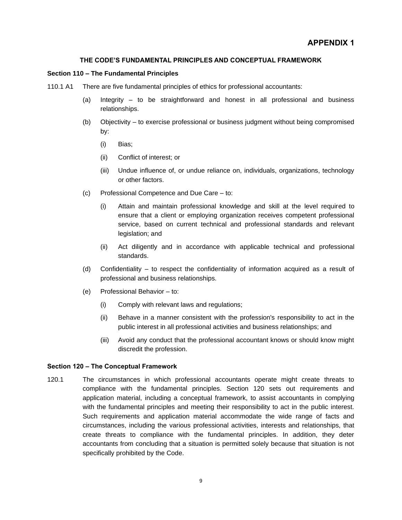#### **THE CODE'S FUNDAMENTAL PRINCIPLES AND CONCEPTUAL FRAMEWORK**

#### **Section 110 – The Fundamental Principles**

- 110.1 A1 There are five fundamental principles of ethics for professional accountants:
	- (a) Integrity to be straightforward and honest in all professional and business relationships.
	- (b) Objectivity to exercise professional or business judgment without being compromised by:
		- (i) Bias;
		- (ii) Conflict of interest; or
		- (iii) Undue influence of, or undue reliance on, individuals, organizations, technology or other factors.
	- (c) Professional Competence and Due Care to:
		- (i) Attain and maintain professional knowledge and skill at the level required to ensure that a client or employing organization receives competent professional service, based on current technical and professional standards and relevant legislation; and
		- (ii) Act diligently and in accordance with applicable technical and professional standards.
	- (d) Confidentiality to respect the confidentiality of information acquired as a result of professional and business relationships.
	- (e) Professional Behavior to:
		- (i) Comply with relevant laws and regulations;
		- (ii) Behave in a manner consistent with the profession's responsibility to act in the public interest in all professional activities and business relationships; and
		- (iii) Avoid any conduct that the professional accountant knows or should know might discredit the profession.

#### **Section 120 – The Conceptual Framework**

120.1 The circumstances in which professional accountants operate might create threats to compliance with the fundamental principles. Section 120 sets out requirements and application material, including a conceptual framework, to assist accountants in complying with the fundamental principles and meeting their responsibility to act in the public interest. Such requirements and application material accommodate the wide range of facts and circumstances, including the various professional activities, interests and relationships, that create threats to compliance with the fundamental principles. In addition, they deter accountants from concluding that a situation is permitted solely because that situation is not specifically prohibited by the Code.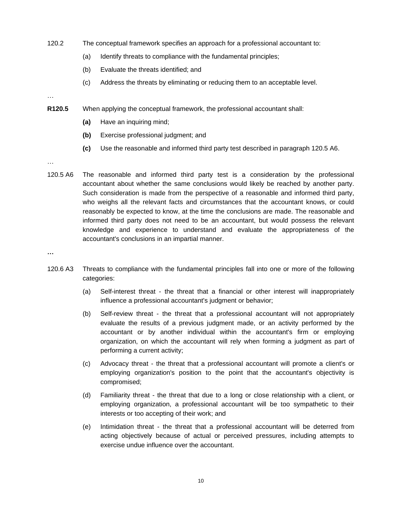- 120.2 The conceptual framework specifies an approach for a professional accountant to:
	- (a) Identify threats to compliance with the fundamental principles;
	- (b) Evaluate the threats identified; and
	- (c) Address the threats by eliminating or reducing them to an acceptable level.

## …

- **R120.5** When applying the conceptual framework, the professional accountant shall:
	- **(a)** Have an inquiring mind;
	- **(b)** Exercise professional judgment; and
	- **(c)** Use the reasonable and informed third party test described in paragraph 120.5 A6.

…

- 120.5 A6 The reasonable and informed third party test is a consideration by the professional accountant about whether the same conclusions would likely be reached by another party. Such consideration is made from the perspective of a reasonable and informed third party, who weighs all the relevant facts and circumstances that the accountant knows, or could reasonably be expected to know, at the time the conclusions are made. The reasonable and informed third party does not need to be an accountant, but would possess the relevant knowledge and experience to understand and evaluate the appropriateness of the accountant's conclusions in an impartial manner.
- **…**
- 120.6 A3 Threats to compliance with the fundamental principles fall into one or more of the following categories:
	- (a) Self-interest threat the threat that a financial or other interest will inappropriately influence a professional accountant's judgment or behavior;
	- (b) Self-review threat the threat that a professional accountant will not appropriately evaluate the results of a previous judgment made, or an activity performed by the accountant or by another individual within the accountant's firm or employing organization, on which the accountant will rely when forming a judgment as part of performing a current activity;
	- (c) Advocacy threat the threat that a professional accountant will promote a client's or employing organization's position to the point that the accountant's objectivity is compromised;
	- (d) Familiarity threat the threat that due to a long or close relationship with a client, or employing organization, a professional accountant will be too sympathetic to their interests or too accepting of their work; and
	- (e) Intimidation threat the threat that a professional accountant will be deterred from acting objectively because of actual or perceived pressures, including attempts to exercise undue influence over the accountant.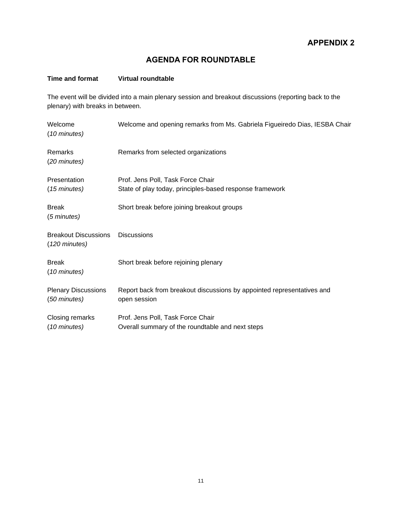## **AGENDA FOR ROUNDTABLE**

#### **Time and format Virtual roundtable**

The event will be divided into a main plenary session and breakout discussions (reporting back to the plenary) with breaks in between.

| Welcome<br>(10 minutes)                                | Welcome and opening remarks from Ms. Gabriela Figueiredo Dias, IESBA Chair                    |
|--------------------------------------------------------|-----------------------------------------------------------------------------------------------|
| Remarks<br>(20 minutes)                                | Remarks from selected organizations                                                           |
| Presentation<br>(15 minutes)                           | Prof. Jens Poll, Task Force Chair<br>State of play today, principles-based response framework |
| <b>Break</b><br>(5 minutes)                            | Short break before joining breakout groups                                                    |
| <b>Breakout Discussions</b><br>$(120 \text{ minutes})$ | <b>Discussions</b>                                                                            |
| <b>Break</b><br>(10 minutes)                           | Short break before rejoining plenary                                                          |
| <b>Plenary Discussions</b><br>(50 minutes)             | Report back from breakout discussions by appointed representatives and<br>open session        |
| Closing remarks<br>(10 minutes)                        | Prof. Jens Poll, Task Force Chair<br>Overall summary of the roundtable and next steps         |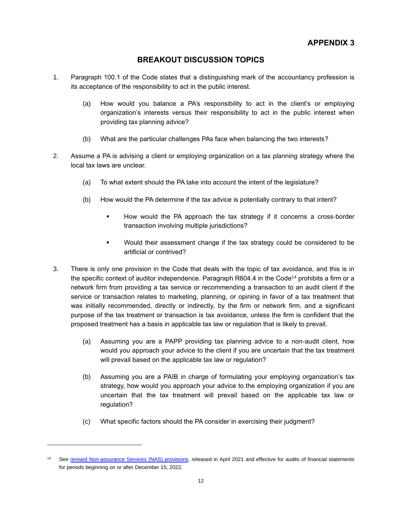## **BREAKOUT DISCUSSION TOPICS**

- 1. Paragraph 100.1 of the Code states that a distinguishing mark of the accountancy profession is its acceptance of the responsibility to act in the public interest.
	- (a) How would you balance a PA's responsibility to act in the client's or employing organization's interests versus their responsibility to act in the public interest when providing tax planning advice?
	- (b) What are the particular challenges PAs face when balancing the two interests?
- 2. Assume a PA is advising a client or employing organization on a tax planning strategy where the local tax laws are unclear.
	- (a) To what extent should the PA take into account the intent of the legislature?
	- (b) How would the PA determine if the tax advice is potentially contrary to that intent?
		- How would the PA approach the tax strategy if it concerns a cross-border transaction involving multiple jurisdictions?
		- Would their assessment change if the tax strategy could be considered to be artificial or contrived?
- 3. There is only one provision in the Code that deals with the topic of tax avoidance, and this is in the specific context of auditor independence. Paragraph R604.4 in the Code<sup>14</sup> prohibits a firm or a network firm from providing a tax service or recommending a transaction to an audit client if the service or transaction relates to marketing, planning, or opining in favor of a tax treatment that was initially recommended, directly or indirectly, by the firm or network firm, and a significant purpose of the tax treatment or transaction is tax avoidance, unless the firm is confident that the proposed treatment has a basis in applicable tax law or regulation that is likely to prevail.
	- (a) Assuming you are a PAPP providing tax planning advice to a non-audit client, how would you approach your advice to the client if you are uncertain that the tax treatment will prevail based on the applicable tax law or regulation?
	- (b) Assuming you are a PAIB in charge of formulating your employing organization's tax strategy, how would you approach your advice to the employing organization if you are uncertain that the tax treatment will prevail based on the applicable tax law or regulation?
	- (c) What specific factors should the PA consider in exercising their judgment?

<sup>14</sup> See [revised Non-assurance Services \(NAS\) provisions,](https://www.ethicsboard.org/publications/final-pronouncement-revisions-non-assurance-service-provisions-code) released in April 2021 and effective for audits of financial statements for periods beginning on or after December 15, 2022.